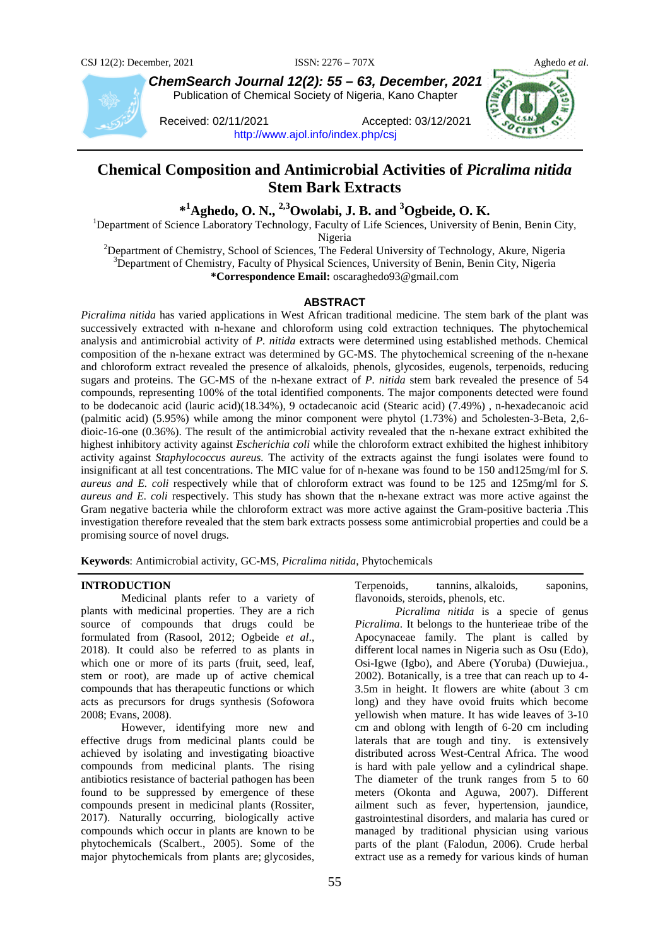

*ChemSearch Journal 12(2): 55 – 63, December, 2021* Publication of Chemical Society of Nigeria, Kano Chapter

Received: 02/11/2021 Accepted: 03/12/2021 <http://www.ajol.info/index.php/csj>



# **Chemical Composition and Antimicrobial Activities of** *Picralima nitida* **Stem Bark Extracts**

**\*1 Aghedo, O. N., 2,3Owolabi, J. B. and <sup>3</sup> Ogbeide, O. K.** <sup>1</sup>

<sup>1</sup>Department of Science Laboratory Technology, Faculty of Life Sciences, University of Benin, Benin City,

Nigeria<br><sup>2</sup>Department of Chemistry, School of Sciences, The Fe Department of Chemistry, School of Sciences, The Federal University of Technology, Akure, Nigeria <sup>3</sup>Department of Chemistry, Faculty of Physical Sciences, University of Benin, Benin City, Nigeria **\*Correspondence Email:** oscaraghedo93@gmail.com

## **ABSTRACT**

*Picralima nitida* has varied applications in West African traditional medicine. The stem bark of the plant was successively extracted with n-hexane and chloroform using cold extraction techniques. The phytochemical analysis and antimicrobial activity of *P. nitida* extracts were determined using established methods. Chemical composition of the n-hexane extract was determined by GC-MS. The phytochemical screening of the n-hexane and chloroform extract revealed the presence of alkaloids, phenols, glycosides, eugenols, terpenoids, reducing sugars and proteins. The GC-MS of the n-hexane extract of *P. nitida* stem bark revealed the presence of 54 compounds, representing 100% of the total identified components. The major components detected were found to be dodecanoic acid (lauric acid)(18.34%), 9 octadecanoic acid (Stearic acid) (7.49%) , n-hexadecanoic acid (palmitic acid) (5.95%) while among the minor component were phytol (1.73%) and 5cholesten-3-Beta, 2,6 dioic-16-one (0.36%). The result of the antimicrobial activity revealed that the n-hexane extract exhibited the highest inhibitory activity against *Escherichia coli* while the chloroform extract exhibited the highest inhibitory activity against *Staphylococcus aureus.* The activity of the extracts against the fungi isolates were found to insignificant at all test concentrations. The MIC value for of n-hexane was found to be 150 and125mg/ml for *S. aureus and E. coli* respectively while that of chloroform extract was found to be 125 and 125mg/ml for *S. aureus and E. coli* respectively. This study has shown that the n-hexane extract was more active against the Gram negative bacteria while the chloroform extract was more active against the Gram-positive bacteria .This investigation therefore revealed that the stem bark extracts possess some antimicrobial properties and could be a promising source of novel drugs.

**Keywords**: Antimicrobial activity, GC-MS, *Picralima nitida*, Phytochemicals

## **INTRODUCTION**

Medicinal plants refer to a variety of plants with medicinal properties. They are a rich source of compounds that drugs could be formulated from (Rasool, 2012; Ogbeide *et al*., 2018). It could also be referred to as plants in which one or more of its parts (fruit, seed, leaf, stem or root), are made up of active chemical compounds that has therapeutic functions or which acts as precursors for drugs synthesis (Sofowora 2008; Evans, 2008).

However, identifying more new and effective drugs from medicinal plants could be achieved by isolating and investigating bioactive compounds from medicinal plants. The rising antibiotics resistance of bacterial pathogen has been found to be suppressed by emergence of these compounds present in medicinal plants (Rossiter, 2017). Naturally occurring, biologically active compounds which occur in plants are known to be phytochemicals (Scalbert., 2005). Some of the major phytochemicals from plants are; glycosides,

Terpenoids, tannins, alkaloids, saponins, flavonoids, steroids, phenols, etc.

*Picralima nitida* is a specie of genus *Picralima*. It belongs to the hunterieae tribe of the Apocynaceae family. The plant is called by different local names in Nigeria such as Osu (Edo), Osi-Igwe (Igbo), and Abere (Yoruba) (Duwiejua*.,* 2002). Botanically*,* is a tree that can reach up to 4- 3.5m in height. It flowers are white (about 3 cm long) and they have ovoid fruits which become yellowish when mature. It has wide leaves of 3-10 cm and oblong with length of 6-20 cm including laterals that are tough and tiny. is extensively distributed across West-Central Africa. The wood is hard with pale yellow and a cylindrical shape. The diameter of the trunk ranges from 5 to 60 meters (Okonta and Aguwa, 2007). Different ailment such as fever, hypertension, jaundice, gastrointestinal disorders, and malaria has cured or managed by traditional physician using various parts of the plant (Falodun*,* 2006). Crude herbal extract use as a remedy for various kinds of human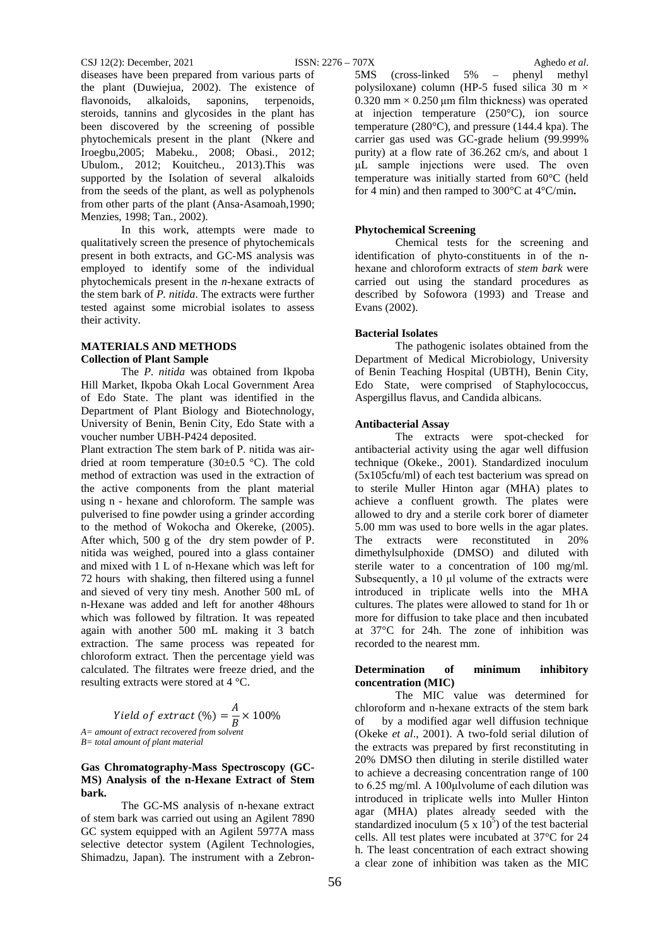#### CSJ 12(2): December, 2021 ISSN: 2276 – 707X Aghedo *et al*.

diseases have been prepared from various parts of the plant (Duwiejua*,* 2002). The existence of flavonoids, alkaloids, saponins, terpenoids, steroids, tannins and glycosides in the plant has been discovered by the screening of possible phytochemicals present in the plant (Nkere and Iroegbu,2005; Mabeku*.,* 2008; Obasi*.,* 2012; Ubulom*.,* 2012; Kouitcheu*.,* 2013).This was supported by the Isolation of several alkaloids from the seeds of the plant, as well as polyphenols from other parts of the plant (Ansa-Asamoah,1990; Menzies, 1998; Tan*.,* 2002).

In this work, attempts were made to qualitatively screen the presence of phytochemicals present in both extracts, and GC-MS analysis was employed to identify some of the individual phytochemicals present in the *n*-hexane extracts of the stem bark of *P. nitida*. The extracts were further tested against some microbial isolates to assess their activity.

### **MATERIALS AND METHODS Collection of Plant Sample**

The *P. nitida* was obtained from Ikpoba Hill Market, Ikpoba Okah Local Government Area of Edo State. The plant was identified in the Department of Plant Biology and Biotechnology, University of Benin, Benin City, Edo State with a voucher number UBH-P424 deposited.

Plant extraction The stem bark of P. nitida was airdried at room temperature (30 $\pm$ 0.5 °C). The cold method of extraction was used in the extraction of the active components from the plant material using n - hexane and chloroform. The sample was pulverised to fine powder using a grinder according to the method of Wokocha and Okereke, (2005). After which, 500 g of the dry stem powder of P. nitida was weighed, poured into a glass container and mixed with 1 L of n-Hexane which was left for 72 hours with shaking, then filtered using a funnel and sieved of very tiny mesh. Another 500 mL of n-Hexane was added and left for another 48hours which was followed by filtration. It was repeated again with another 500 mL making it 3 batch extraction. The same process was repeated for chloroform extract. Then the percentage yield was calculated. The filtrates were freeze dried, and the resulting extracts were stored at 4 °C.

Yield of extract  $(\%) = \frac{A}{B} \times 100\%$  *A= amount of extract recovered from solvent B= total amount of plant material*

## **Gas Chromatography-Mass Spectroscopy (GC-MS) Analysis of the n-Hexane Extract of Stem bark.**

The GC-MS analysis of n-hexane extract of stem bark was carried out using an Agilent 7890 GC system equipped with an Agilent 5977A mass selective detector system (Agilent Technologies, Shimadzu, Japan). The instrument with a Zebron-

5MS (cross-linked 5% – phenyl methyl polysiloxane) column (HP-5 fused silica 30 m  $\times$  $0.320$  mm  $\times$  0.250 µm film thickness) was operated at injection temperature (250°C), ion source temperature (280°C), and pressure (144.4 kpa). The carrier gas used was GC-grade helium (99.999% purity) at a flow rate of 36.262 cm/s, and about 1 μL sample injections were used. The oven temperature was initially started from 60°C (held for 4 min) and then ramped to 300°C at 4°C/min**.**

## **Phytochemical Screening**

Chemical tests for the screening and identification of phyto-constituents in of the nhexane and chloroform extracts of *stem bark* were carried out using the standard procedures as described by Sofowora (1993) and Trease and Evans (2002).

#### **Bacterial Isolates**

The pathogenic isolates obtained from the Department of Medical Microbiology, University of Benin Teaching Hospital (UBTH), Benin City, Edo State, were comprised of Staphylococcus, Aspergillus flavus, and Candida albicans.

#### **Antibacterial Assay**

The extracts were spot-checked for antibacterial activity using the agar well diffusion technique (Okeke., 2001). Standardized inoculum (5x105cfu/ml) of each test bacterium was spread on to sterile Muller Hinton agar (MHA) plates to achieve a confluent growth. The plates were allowed to dry and a sterile cork borer of diameter 5.00 mm was used to bore wells in the agar plates. The extracts were reconstituted in 20% dimethylsulphoxide (DMSO) and diluted with sterile water to a concentration of 100 mg/ml. Subsequently, a 10 μl volume of the extracts were introduced in triplicate wells into the MHA cultures. The plates were allowed to stand for 1h or more for diffusion to take place and then incubated at 37°C for 24h. The zone of inhibition was recorded to the nearest mm.

## **Determination of minimum inhibitory concentration (MIC)**

The MIC value was determined for chloroform and n-hexane extracts of the stem bark of by a modified agar well diffusion technique (Okeke *et al*., 2001). A two-fold serial dilution of the extracts was prepared by first reconstituting in 20% DMSO then diluting in sterile distilled water to achieve a decreasing concentration range of 100 to 6.25 mg/ml. A 100μlvolume of each dilution was introduced in triplicate wells into Muller Hinton agar (MHA) plates already seeded with the standardized inoculum  $(5 \times 10^5)$  of the test bacterial cells. All test plates were incubated at 37°C for 24 h. The least concentration of each extract showing a clear zone of inhibition was taken as the MIC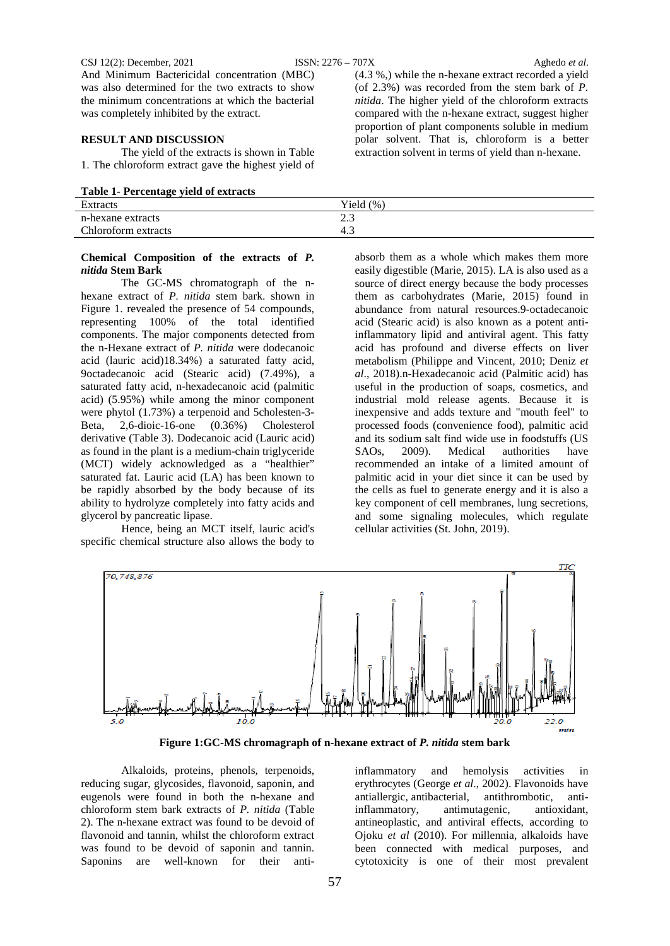#### CSJ 12(2): December, 2021 ISSN: 2276 – 707X Aghedo *et al*.

And Minimum Bactericidal concentration (MBC) was also determined for the two extracts to show the minimum concentrations at which the bacterial was completely inhibited by the extract.

## **RESULT AND DISCUSSION**

The yield of the extracts is shown in Table 1. The chloroform extract gave the highest yield of

| Table 1- Percentage yield of extracts |  |
|---------------------------------------|--|
|---------------------------------------|--|

| - - -               |               |
|---------------------|---------------|
| <b>Extracts</b>     | Yield $(\% )$ |
| n-hexane extracts   | ر . ب         |
| Chloroform extracts | 4.            |
|                     |               |

## **Chemical Composition of the extracts of** *P. nitida* **Stem Bark**

The GC-MS chromatograph of the nhexane extract of *P. nitida* stem bark. shown in Figure 1. revealed the presence of 54 compounds, representing 100% of the total identified components. The major components detected from the n-Hexane extract of *P. nitida* were dodecanoic acid (lauric acid)18.34%) a saturated fatty acid, 9octadecanoic acid (Stearic acid) (7.49%), a saturated fatty acid, n-hexadecanoic acid (palmitic acid) (5.95%) while among the minor component were phytol (1.73%) a terpenoid and 5cholesten-3- Beta, 2,6-dioic-16-one (0.36%) Cholesterol derivative (Table 3). Dodecanoic acid (Lauric acid) as found in the plant is a medium-chain triglyceride (MCT) widely acknowledged as a "healthier" saturated fat. Lauric acid (LA) has been known to be rapidly absorbed by the body because of its ability to hydrolyze completely into fatty acids and glycerol by pancreatic lipase.

Hence, being an MCT itself, lauric acid's specific chemical structure also allows the body to

(4.3 %,) while the n-hexane extract recorded a yield (of 2.3%) was recorded from the stem bark of *P. nitida*. The higher yield of the chloroform extracts compared with the n-hexane extract, suggest higher proportion of plant components soluble in medium polar solvent. That is, chloroform is a better extraction solvent in terms of yield than n-hexane.

absorb them as a whole which makes them more easily digestible (Marie, 2015). LA is also used as a source of direct energy because the body processes them as carbohydrates (Marie, 2015) found in abundance from natural resources.9-octadecanoic acid (Stearic acid) is also known as a potent antiinflammatory lipid and antiviral agent. This fatty acid has profound and diverse effects on liver metabolism (Philippe and Vincent, 2010; Deniz *et al*., 2018).n-Hexadecanoic acid (Palmitic acid) has useful in the production of soaps, cosmetics, and industrial mold release agents. Because it is inexpensive and adds texture and "mouth feel" to processed foods (convenience food), palmitic acid and its sodium salt find wide use in foodstuffs (US<br>SAOs. 2009). Medical authorities have SAOs, 2009). Medical authorities have recommended an intake of a limited amount of palmitic acid in your diet since it can be used by the cells as fuel to generate energy and it is also a key component of cell membranes, lung secretions, and some signaling molecules, which regulate cellular activities (St. John, 2019).



**Figure 1:GC-MS chromagraph of n-hexane extract of** *P. nitida* **stem bark**

Alkaloids, proteins, phenols, terpenoids, reducing sugar, glycosides, flavonoid, saponin, and eugenols were found in both the n-hexane and chloroform stem bark extracts of *P. nitida* (Table 2). The n-hexane extract was found to be devoid of flavonoid and tannin, whilst the chloroform extract was found to be devoid of saponin and tannin. Saponins are well-known for their antiinflammatory and hemolysis activities in erythrocytes (George *et al*., 2002). Flavonoids have antiallergic, antibacterial, antithrombotic, antiinflammatory, antimutagenic, antioxidant, antineoplastic, and antiviral effects, according to Ojoku *et al* (2010). For millennia, alkaloids have been connected with medical purposes, and cytotoxicity is one of their most prevalent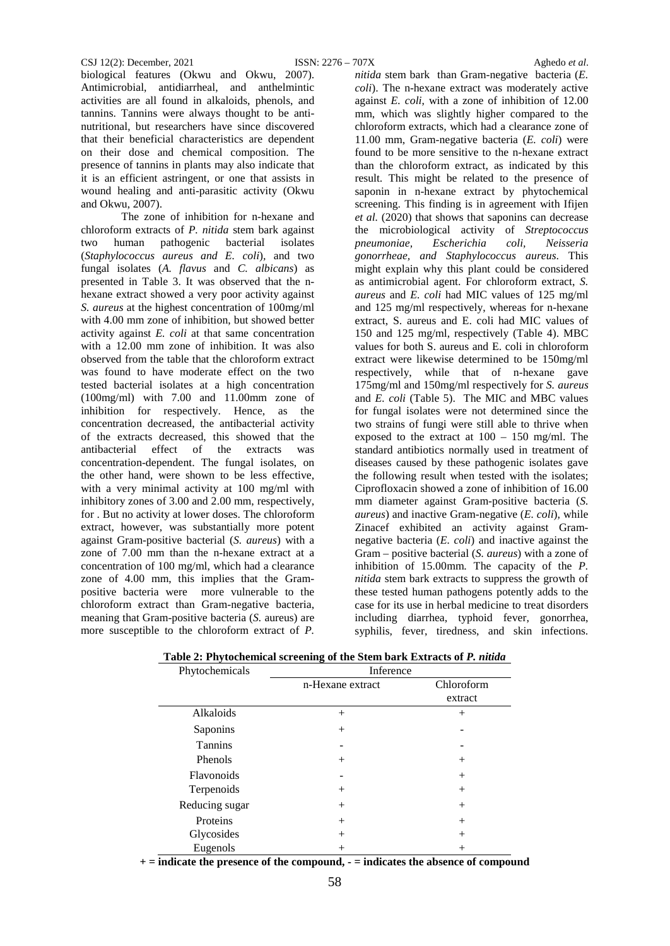biological features (Okwu and Okwu, 2007). Antimicrobial, antidiarrheal, and anthelmintic activities are all found in alkaloids, phenols, and tannins. Tannins were always thought to be antinutritional, but researchers have since discovered that their beneficial characteristics are dependent on their dose and chemical composition. The presence of tannins in plants may also indicate that it is an efficient astringent, or one that assists in wound healing and anti-parasitic activity (Okwu and Okwu, 2007).

The zone of inhibition for n-hexane and chloroform extracts of *P. nitida* stem bark against two human pathogenic bacterial isolates (*Staphylococcus aureus and E. coli*)*,* and two fungal isolates (*A. flavus* and *C. albicans*) as presented in Table 3. It was observed that the nhexane extract showed a very poor activity against *S. aureus* at the highest concentration of 100mg/ml with 4.00 mm zone of inhibition, but showed better activity against *E. coli* at that same concentration with a 12.00 mm zone of inhibition. It was also observed from the table that the chloroform extract was found to have moderate effect on the two tested bacterial isolates at a high concentration (100mg/ml) with 7.00 and 11.00mm zone of inhibition for respectively. Hence, as the concentration decreased, the antibacterial activity of the extracts decreased, this showed that the antibacterial effect of the extracts was concentration-dependent. The fungal isolates, on the other hand, were shown to be less effective, with a very minimal activity at 100 mg/ml with inhibitory zones of 3.00 and 2.00 mm, respectively, for . But no activity at lower doses. The chloroform extract, however, was substantially more potent against Gram-positive bacterial (*S. aureus*) with a zone of 7.00 mm than the n-hexane extract at a concentration of 100 mg/ml, which had a clearance zone of 4.00 mm, this implies that the Grampositive bacteria were more vulnerable to the chloroform extract than Gram-negative bacteria, meaning that Gram-positive bacteria (*S.* aureus) are more susceptible to the chloroform extract of *P.* 

*nitida* stem bark than Gram-negative bacteria (*E. coli*). The n-hexane extract was moderately active against *E. coli*, with a zone of inhibition of 12.00 mm, which was slightly higher compared to the chloroform extracts, which had a clearance zone of 11.00 mm, Gram-negative bacteria (*E. coli*) were found to be more sensitive to the n-hexane extract than the chloroform extract, as indicated by this result. This might be related to the presence of saponin in n-hexane extract by phytochemical screening. This finding is in agreement with Ifijen *et al.* (2020) that shows that saponins can decrease the microbiological activity of *Streptococcus pneumoniae, Escherichia coli, Neisseria gonorrheae, and Staphylococcus aureus*. This might explain why this plant could be considered as antimicrobial agent. For chloroform extract, *S. aureus* and *E. coli* had MIC values of 125 mg/ml and 125 mg/ml respectively, whereas for n-hexane extract, S. aureus and E. coli had MIC values of 150 and 125 mg/ml, respectively (Table 4). MBC values for both S. aureus and E. coli in chloroform extract were likewise determined to be 150mg/ml respectively, while that of n-hexane gave 175mg/ml and 150mg/ml respectively for *S. aureus* and *E. coli* (Table 5). The MIC and MBC values for fungal isolates were not determined since the two strains of fungi were still able to thrive when exposed to the extract at 100 – 150 mg/ml. The standard antibiotics normally used in treatment of diseases caused by these pathogenic isolates gave the following result when tested with the isolates; Ciprofloxacin showed a zone of inhibition of 16.00 mm diameter against Gram-positive bacteria (*S. aureus*) and inactive Gram-negative (*E. coli*), while Zinacef exhibited an activity against Gramnegative bacteria (*E. coli*) and inactive against the Gram – positive bacterial (*S. aureus*) with a zone of inhibition of 15.00mm. The capacity of the *P. nitida* stem bark extracts to suppress the growth of these tested human pathogens potently adds to the case for its use in herbal medicine to treat disorders including diarrhea, typhoid fever, gonorrhea, syphilis, fever, tiredness, and skin infections.

| Phytochemicals | Inference        |                       |  |
|----------------|------------------|-----------------------|--|
|                | n-Hexane extract | Chloroform<br>extract |  |
| Alkaloids      | $^{+}$           | $^{+}$                |  |
| Saponins       | $^{+}$           |                       |  |
| <b>Tannins</b> |                  |                       |  |
| Phenols        | $^{+}$           | $^{+}$                |  |
| Flavonoids     |                  | $^{+}$                |  |
| Terpenoids     | $^{+}$           | $^{+}$                |  |
| Reducing sugar | $^{+}$           | $^{+}$                |  |
| Proteins       | $^{+}$           | $^{+}$                |  |
| Glycosides     | $^{+}$           | $^{+}$                |  |
| Eugenols       | $^+$             |                       |  |

| Table 2: Phytochemical screening of the Stem bark Extracts of P. nitida |  |
|-------------------------------------------------------------------------|--|
|                                                                         |  |

**+ = indicate the presence of the compound, - = indicates the absence of compound**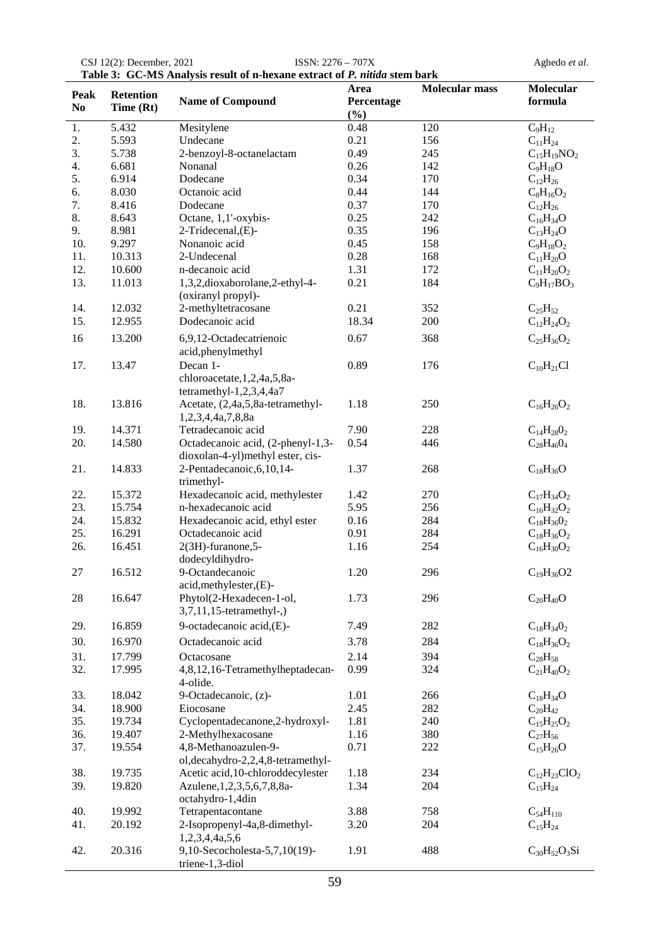|                        |                        |                                                                       | Area        | <b>Molecular mass</b> | Molecular           |
|------------------------|------------------------|-----------------------------------------------------------------------|-------------|-----------------------|---------------------|
| Peak<br>N <sub>0</sub> | Retention<br>Time (Rt) | <b>Name of Compound</b>                                               | Percentage  |                       | formula             |
| 1.                     | 5.432                  | Mesitylene                                                            | (%)<br>0.48 | 120                   | $C_9H_{12}$         |
| 2.                     | 5.593                  | Undecane                                                              | 0.21        | 156                   | $C_{11}H_{24}$      |
| 3.                     | 5.738                  | 2-benzoyl-8-octanelactam                                              | 0.49        | 245                   | $C_{15}H_{19}NO_2$  |
| 4.                     | 6.681                  | Nonanal                                                               | 0.26        | 142                   | $C_9H_{18}O$        |
| 5.                     | 6.914                  | Dodecane                                                              | 0.34        | 170                   | $C_{12}H_{26}$      |
| 6.                     | 8.030                  | Octanoic acid                                                         | 0.44        | 144                   | $C_8H_{16}O_2$      |
| 7.                     | 8.416                  | Dodecane                                                              | 0.37        | 170                   | $C_{12}H_{26}$      |
| 8.                     | 8.643                  | Octane, 1,1'-oxybis-                                                  | 0.25        | 242                   | $C_{16}H_{34}O$     |
| 9.                     | 8.981                  | 2-Tridecenal, (E)-                                                    | 0.35        | 196                   | $C_{13}H_{24}O$     |
| 10.                    | 9.297                  | Nonanoic acid                                                         | 0.45        | 158                   | $C_9H_{18}O_2$      |
| 11.                    | 10.313                 | 2-Undecenal                                                           | 0.28        | 168                   | $C_{11}H_{20}O$     |
| 12.                    | 10.600                 | n-decanoic acid                                                       | 1.31        | 172                   | $C_{11}H_{20}O_2$   |
| 13.                    | 11.013                 | 1,3,2,dioxaborolane,2-ethyl-4-<br>(oxiranyl propyl)-                  | 0.21        | 184                   | $C_9H_{17}BO_3$     |
| 14.                    | 12.032                 | 2-methyltetracosane                                                   | 0.21        | 352                   | $C_{25}H_{52}$      |
| 15.                    | 12.955                 | Dodecanoic acid                                                       | 18.34       | 200                   | $C_{12}H_{24}O_2$   |
| 16                     | 13.200                 | 6,9,12-Octadecatrienoic                                               | 0.67        | 368                   | $C_{25}H_{36}O_2$   |
|                        |                        | acid, phenylmethyl                                                    |             |                       |                     |
| 17.                    | 13.47                  | Decan 1-<br>chloroacetate, 1,2,4a,5,8a-<br>tetramethyl-1,2,3,4,4a7    | 0.89        | 176                   | $C_{10}H_{21}Cl$    |
| 18.                    | 13.816                 | Acetate, (2,4a,5,8a-tetramethyl-<br>1,2,3,4,4a,7,8,8a                 | 1.18        | 250                   | $C_{16}H_{26}O_2$   |
| 19.                    | 14.371                 | Tetradecanoic acid                                                    | 7.90        | 228                   | $C_{14}H_{28}O_2$   |
| 20.                    | 14.580                 | Octadecanoic acid, (2-phenyl-1,3-<br>dioxolan-4-yl)methyl ester, cis- | 0.54        | 446                   | $C_{28}H_{46}O_4$   |
| 21.                    | 14.833                 | 2-Pentadecanoic, 6, 10, 14-<br>trimethyl-                             | 1.37        | 268                   | $C_{18}H_{36}O$     |
| 22.                    | 15.372                 | Hexadecanoic acid, methylester                                        | 1.42        | 270                   | $C_{17}H_{34}O_2$   |
| 23.                    | 15.754                 | n-hexadecanoic acid                                                   | 5.95        | 256                   | $C_{16}H_{32}O_2$   |
| 24.                    | 15.832                 | Hexadecanoic acid, ethyl ester                                        | 0.16        | 284                   | $C_{18}H_{36}O_2$   |
| 25.                    | 16.291                 | Octadecanoic acid                                                     | 0.91        | 284                   | $C_{18}H_{36}O_2$   |
| 26.                    | 16.451                 | 2(3H)-furanone,5-<br>dodecyldihydro-                                  | 1.16        | 254                   | $C_{16}H_{30}O_2$   |
| 27                     | 16.512                 | 9-Octandecanoic<br>acid, methylester, (E)-                            | 1.20        | 296                   | $C_{19}H_{36}O2$    |
| 28                     | 16.647                 | Phytol(2-Hexadecen-1-ol,<br>$3,7,11,15$ -tetramethyl-,)               | 1.73        | 296                   | $C_{20}H_{40}O$     |
| 29.                    | 16.859                 | 9-octadecanoic acid, (E)-                                             | 7.49        | 282                   | $C_{18}H_{34}O_2$   |
| 30.                    | 16.970                 | Octadecanoic acid                                                     | 3.78        | 284                   | $C_{18}H_{36}O_2$   |
| 31.                    | 17.799                 | Octacosane                                                            | 2.14        | 394                   | $C_{28}H_{58}$      |
| 32.                    | 17.995                 | 4,8,12,16-Tetramethylheptadecan-<br>4-olide.                          | 0.99        | 324                   | $C_{21}H_{40}O_2$   |
| 33.                    | 18.042                 | 9-Octadecanoic, (z)-                                                  | 1.01        | 266                   | $C_{18}H_{34}O$     |
| 34.                    | 18.900                 | Eiocosane                                                             | 2.45        | 282                   | $C_{20}H_{42}$      |
| 35.                    | 19.734                 | Cyclopentadecanone, 2-hydroxyl-                                       | 1.81        | 240                   | $C_{15}H_{25}O_2$   |
| 36.                    | 19.407                 | 2-Methylhexacosane                                                    | 1.16        | 380                   | $C_{27}H_{56}$      |
| 37.                    | 19.554                 | 4,8-Methanoazulen-9-                                                  | 0.71        | 222                   | $C_{15}H_{26}O$     |
|                        |                        | ol, decahydro-2, 2, 4, 8-tetramethyl-                                 |             |                       |                     |
| 38.                    | 19.735                 | Acetic acid, 10-chloroddecylester                                     | 1.18        | 234                   | $C_{12}H_{23}ClO_2$ |
| 39.                    | 19.820                 | Azulene, 1, 2, 3, 5, 6, 7, 8, 8a-<br>octahydro-1,4din                 | 1.34        | 204                   | $C_{15}H_{24}$      |
| 40.                    | 19.992                 | Tetrapentacontane                                                     | 3.88        | 758                   | $C_{54}H_{110}$     |
| 41.                    | 20.192                 | 2-Isopropenyl-4a,8-dimethyl-<br>1,2,3,4,4a,5,6                        | 3.20        | 204                   | $C_{15}H_{24}$      |
| 42.                    | 20.316                 | 9,10-Secocholesta-5,7,10(19)-<br>triene-1,3-diol                      | 1.91        | 488                   | $C_{30}H_{52}O_3Si$ |

CSJ 12(2): December, 2021 ISSN: 2276 – 707X Aghedo *et al*. **Table 3: GC-MS Analysis result of n-hexane extract of** *P. nitida* **stem bark**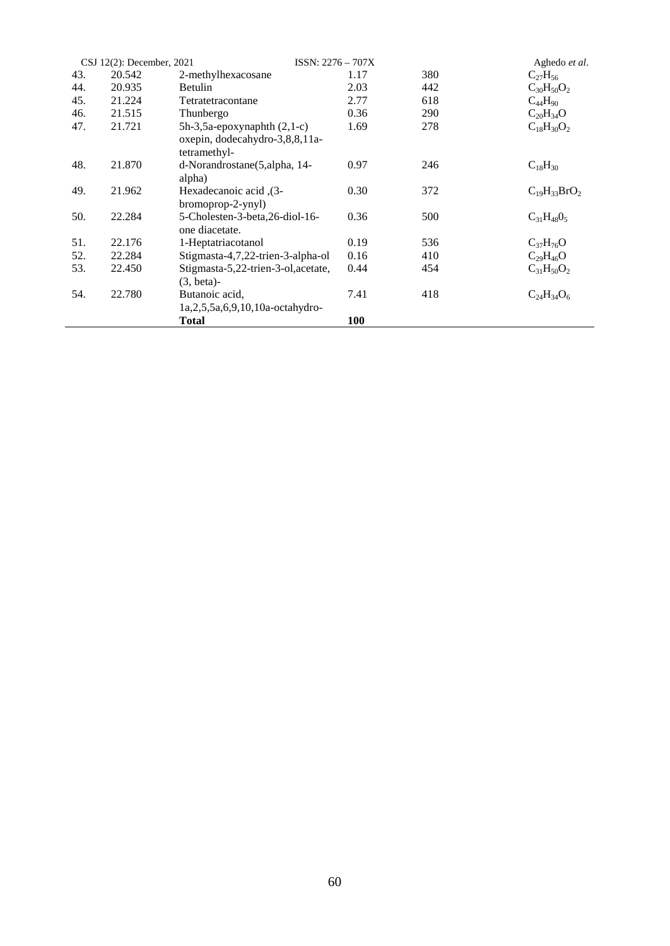|     | CSJ 12(2): December, 2021 | $ISSN: 2276 - 707X$                                                                  |      |     | Aghedo et al.       |
|-----|---------------------------|--------------------------------------------------------------------------------------|------|-----|---------------------|
| 43. | 20.542                    | 2-methylhexacosane                                                                   | 1.17 | 380 | $C_{27}H_{56}$      |
| 44. | 20.935                    | Betulin                                                                              | 2.03 | 442 | $C_{30}H_{50}O_2$   |
| 45. | 21.224                    | Tetratetracontane                                                                    | 2.77 | 618 | $C_{44}H_{90}$      |
| 46. | 21.515                    | Thunbergo                                                                            | 0.36 | 290 | $C_{20}H_{34}O$     |
| 47. | 21.721                    | $5h-3, 5a$ -epoxynaphth $(2, 1-c)$<br>oxepin, dodecahydro-3,8,8,11a-<br>tetramethyl- | 1.69 | 278 | $C_{18}H_{30}O_2$   |
| 48. | 21.870                    | d-Norandrostane(5,alpha, 14-<br>alpha)                                               | 0.97 | 246 | $C_{18}H_{30}$      |
| 49. | 21.962                    | Hexadecanoic acid, $(3-$<br>bromoprop-2-ynyl)                                        | 0.30 | 372 | $C_{19}H_{33}BrO_2$ |
| 50. | 22.284                    | 5-Cholesten-3-beta, 26-diol-16-<br>one diacetate.                                    | 0.36 | 500 | $C_{31}H_{48}O_5$   |
| 51. | 22.176                    | 1-Heptatriacotanol                                                                   | 0.19 | 536 | $C_{37}H_{76}O$     |
| 52. | 22.284                    | Stigmasta-4,7,22-trien-3-alpha-ol                                                    | 0.16 | 410 | $C_{29}H_{46}O$     |
| 53. | 22.450                    | Stigmasta-5,22-trien-3-ol, acetate,<br>$(3, beta)$ -                                 | 0.44 | 454 | $C_{31}H_{50}O_2$   |
| 54. | 22.780                    | Butanoic acid.<br>$1a, 2, 5, 5a, 6, 9, 10, 10a-octahydro-$                           | 7.41 | 418 | $C_{24}H_{34}O_6$   |
|     |                           | <b>Total</b>                                                                         | 100  |     |                     |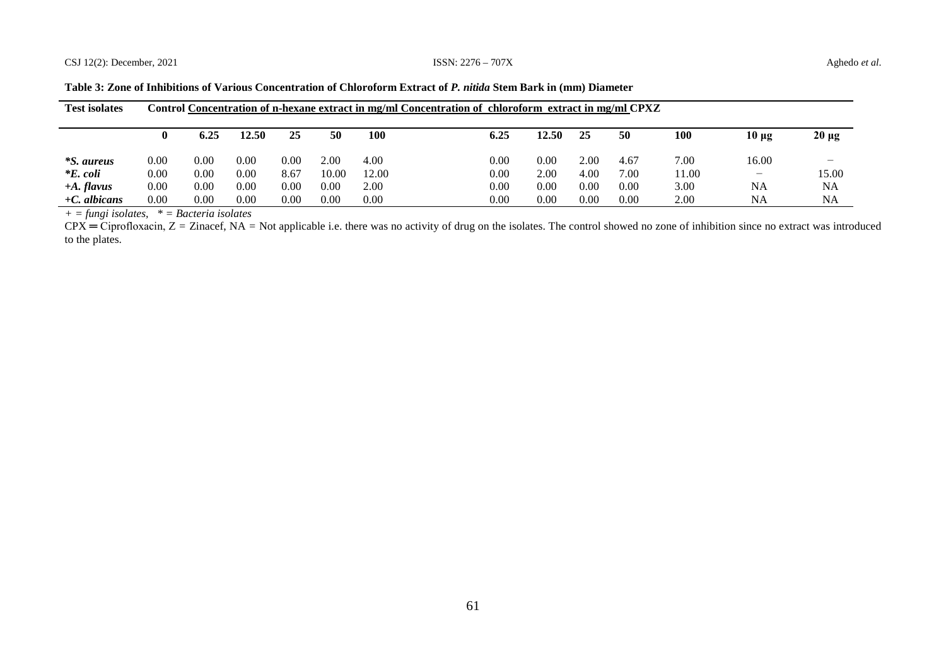| <b>Test isolates</b> |      |      |       |      |       |       | Control Concentration of n-hexane extract in mg/ml Concentration of chloroform extract in mg/ml CPXZ |       |      |      |       |                          |                          |
|----------------------|------|------|-------|------|-------|-------|------------------------------------------------------------------------------------------------------|-------|------|------|-------|--------------------------|--------------------------|
|                      |      |      |       |      |       |       |                                                                                                      |       |      |      |       |                          |                          |
|                      | 0    | 6.25 | 12.50 | 25   | 50    | 100   | 6.25                                                                                                 | 12.50 | 25   | 50   | 100   | $10 \mu g$               | $20 \mu g$               |
|                      |      |      |       |      |       |       |                                                                                                      |       |      |      |       |                          |                          |
| <i>*S. aureus</i>    | 0.00 | 0.00 | 0.00  | 0.00 | 2.00  | 4.00  | 0.00                                                                                                 | 0.00  | 2.00 | 4.67 | 7.00  | 16.00                    | $\overline{\phantom{0}}$ |
| $*E$ , coli          | 0.00 | 0.00 | 0.00  | 8.67 | 10.00 | 12.00 | 0.00                                                                                                 | 2.00  | 4.00 | 7.00 | 11.00 | $\overline{\phantom{a}}$ | 15.00                    |
| $+A.$ flavus         | 0.00 | 0.00 | 0.00  | 0.00 | 0.00  | 2.00  | 0.00                                                                                                 | 0.00  | 0.00 | 0.00 | 3.00  | <b>NA</b>                | NA                       |
| $+C$ , albicans      | 0.00 | 0.00 | 0.00  | 0.00 | 0.00  | 0.00  | 0.00                                                                                                 | 0.00  | 0.00 | 0.00 | 2.00  | <b>NA</b>                | <b>NA</b>                |

**Table 3: Zone of Inhibitions of Various Concentration of Chloroform Extract of** *P. nitida* **Stem Bark in (mm) Diameter**

*+ = fungi isolates, \* = Bacteria isolates*

 $CPX = Ciproflox (2) = Zinace$ ; NA = Not applicable i.e. there was no activity of drug on the isolates. The control showed no zone of inhibition since no extract was introduced to the plates.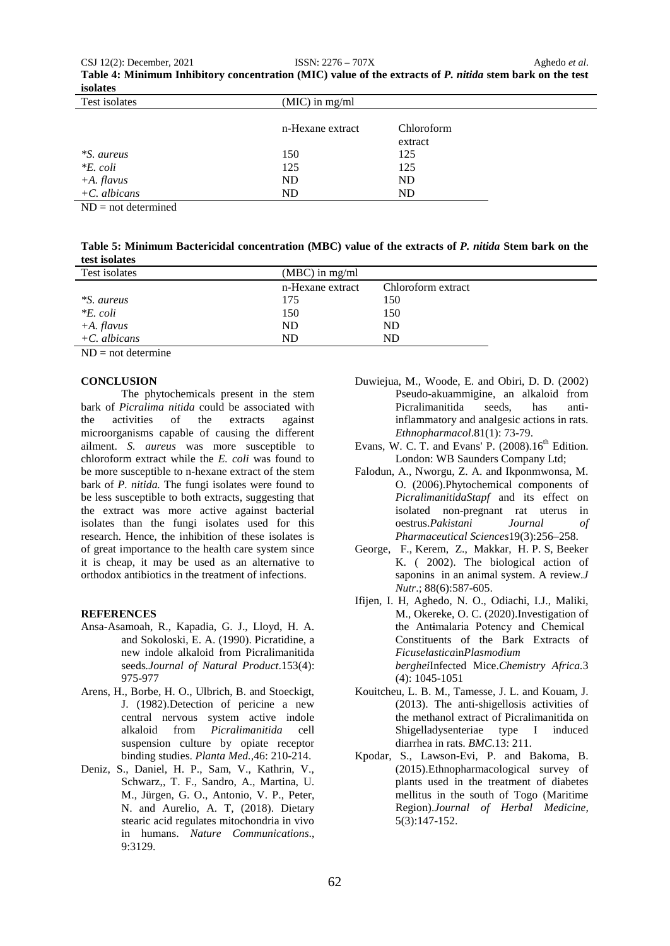| Table 4: Minimum Inhibitory concentration (MIC) value of the extracts of P. nitida stem bark on the test |  |
|----------------------------------------------------------------------------------------------------------|--|
| isolates                                                                                                 |  |

| Test isolates     | $(MIC)$ in mg/ml |            |  |  |  |
|-------------------|------------------|------------|--|--|--|
|                   | n-Hexane extract | Chloroform |  |  |  |
|                   |                  | extract    |  |  |  |
| <i>*S. aureus</i> | 150              | 125        |  |  |  |
| $*E$ . coli       | 125              | 125        |  |  |  |
| $+A.$ flavus      | <b>ND</b>        | ND         |  |  |  |
| $+C.$ albicans    | <b>ND</b>        | ND         |  |  |  |

 $ND = not determined$ 

| Table 5: Minimum Bactericidal concentration (MBC) value of the extracts of P. nitida Stem bark on the |  |
|-------------------------------------------------------------------------------------------------------|--|
| test isolates                                                                                         |  |

| Test isolates     | $(MBC)$ in mg/ml |                    |
|-------------------|------------------|--------------------|
|                   | n-Hexane extract | Chloroform extract |
| <i>*S. aureus</i> | 175              | 150.               |
| $*E$ . coli       | 150              | 150                |
| $+A.$ flavus      | <b>ND</b>        | ND                 |
| $+C$ . albicans   | ND               | ND.                |

 $ND = not determine$ 

## **CONCLUSION**

The phytochemicals present in the stem bark of *Picralima nitida* could be associated with the activities of the extracts against microorganisms capable of causing the different ailment. *S. aureus* was more susceptible to chloroform extract while the *E. coli* was found to be more susceptible to n-hexane extract of the stem bark of *P. nitida*. The fungi isolates were found to be less susceptible to both extracts, suggesting that the extract was more active against bacterial isolates than the fungi isolates used for this research. Hence, the inhibition of these isolates is of great importance to the health care system since it is cheap, it may be used as an alternative to orthodox antibiotics in the treatment of infections.

## **REFERENCES**

- Ansa-Asamoah, R., Kapadia, G. J., Lloyd, H. A. and Sokoloski, E. A. (1990). Picratidine, a new indole alkaloid from Picralimanitida seeds*.Journal of Natural Product*.153(4): 975-977
- Arens, H., Borbe, H. O., Ulbrich, B. and Stoeckigt, J. (1982).Detection of pericine a new central nervous system active indole alkaloid from *Picralimanitida* cell suspension culture by opiate receptor binding studies. *Planta Med.,*46: 210-214.
- Deniz, S., Daniel, H. P., Sam, V., Kathrin, V., Schwarz,, T. F., Sandro, A., Martina, U. M., Jürgen, G. O., Antonio, V. P., Peter, N. and Aurelio, A. T, (2018). Dietary stearic acid regulates mitochondria in vivo in humans. *Nature Communications*., 9:3129.
- Duwiejua, M., Woode, E. and Obiri, D. D. (2002) Pseudo-akuammigine, an alkaloid from Picralimanitida seeds, has antiinflammatory and analgesic actions in rats. *Ethnopharmacol*.81(1): 73-79.
- Evans, W. C. T. and Evans' P.  $(2008).16<sup>th</sup>$  Edition. London: WB Saunders Company Ltd;
- Falodun, A., Nworgu, Z. A. and Ikponmwonsa, M. O. (2006).Phytochemical components of *PicralimanitidaStapf* and its effect on isolated non-pregnant rat uterus in oestrus.*Pakistani Journal of Pharmaceutical Sciences*19(3):256–258.
- George, F., Kerem, Z., Makkar, H. P. S, Beeker K. ( 2002). The biological action of saponins in an animal system. A review.*J Nutr*.; 88(6):587-605.
- Ifijen, I. H, Aghedo, N. O., Odiachi, I.J., Maliki, M., Okereke, O. C. (2020).Investigation of the Ant<del>i</del>malaria Potency and Chemical Constituents of the Bark Extracts of *Ficuselastica*in*Plasmodium berghei*Infected Mice.*Chemistry Africa.*3 (4): 1045-1051
- Kouitcheu, L. B. M., Tamesse, J. L. and Kouam, J. (2013). The anti-shigellosis activities of the methanol extract of Picralimanitida on Shigelladysenteriae type I induced diarrhea in rats. *BMC*.13: 211.
- Kpodar, S., Lawson-Evi, P. and Bakoma, B. (2015).Ethnopharmacological survey of plants used in the treatment of diabetes mellitus in the south of Togo (Maritime Region).*Journal of Herbal Medicine,* 5(3):147-152.